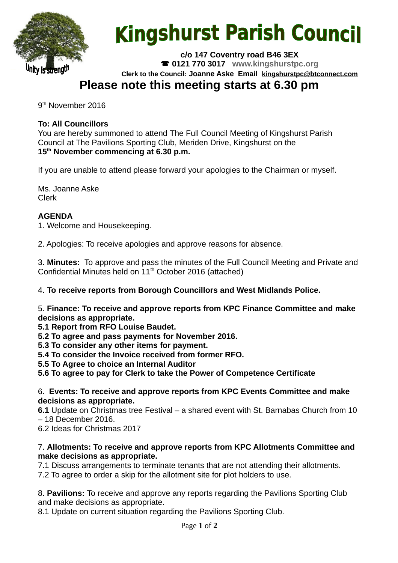

# **Kingshurst Parish Council**

**c/o 147 Coventry road B46 3EX 0121 770 3017 www.kingshurstpc.org Clerk to the Council: Joanne Aske Email [kingshurstpc@btconnect.com](mailto:kingshurstpc@btconnect.com)**

# **Please note this meeting starts at 6.30 pm**

9<sup>th</sup> November 2016

# **To: All Councillors**

You are hereby summoned to attend The Full Council Meeting of Kingshurst Parish Council at The Pavilions Sporting Club, Meriden Drive, Kingshurst on the **15th November commencing at 6.30 p.m.**

If you are unable to attend please forward your apologies to the Chairman or myself.

Ms. Joanne Aske Clerk

# **AGENDA**

1. Welcome and Housekeeping.

2. Apologies: To receive apologies and approve reasons for absence.

3. **Minutes:** To approve and pass the minutes of the Full Council Meeting and Private and Confidential Minutes held on 11<sup>th</sup> October 2016 (attached)

4. **To receive reports from Borough Councillors and West Midlands Police.**

5. **Finance: To receive and approve reports from KPC Finance Committee and make decisions as appropriate.**

**5.1 Report from RFO Louise Baudet.**

**5.2 To agree and pass payments for November 2016.**

**5.3 To consider any other items for payment.**

**5.4 To consider the Invoice received from former RFO.**

**5.5 To Agree to choice an Internal Auditor**

**5.6 To agree to pay for Clerk to take the Power of Competence Certificate**

#### 6. **Events: To receive and approve reports from KPC Events Committee and make decisions as appropriate.**

**6.1** Update on Christmas tree Festival – a shared event with St. Barnabas Church from 10 – 18 December 2016.

6.2 Ideas for Christmas 2017

#### 7. **Allotments: To receive and approve reports from KPC Allotments Committee and make decisions as appropriate.**

7.1 Discuss arrangements to terminate tenants that are not attending their allotments. 7.2 To agree to order a skip for the allotment site for plot holders to use.

8. **Pavilions:** To receive and approve any reports regarding the Pavilions Sporting Club and make decisions as appropriate.

8.1 Update on current situation regarding the Pavilions Sporting Club.